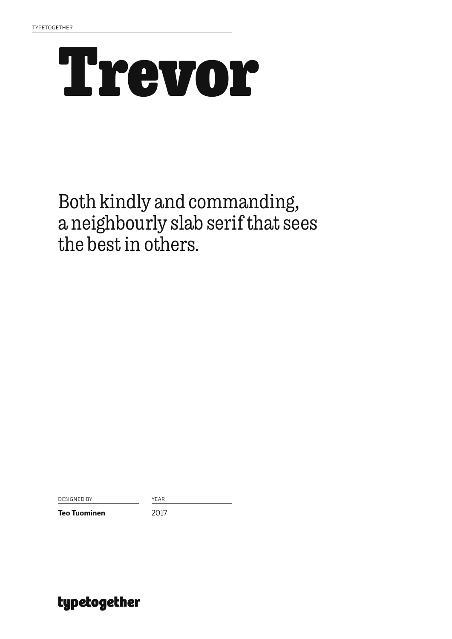## **Trevor**

### Both kindly and commanding, a neighbourly slab serif that sees the best in others.

DESIGNED BY YEAR

**Teo Tuominen** 2017

typetogether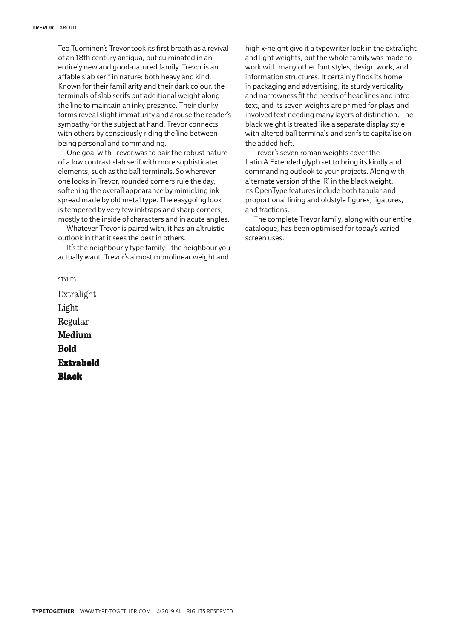Teo Tuominen's Trevor took its first breath as a revival of an 18th century antiqua, but culminated in an entirely new and good-natured family. Trevor is an affable slab serif in nature: both heavy and kind. Known for their familiarity and their dark colour, the terminals of slab serifs put additional weight along the line to maintain an inky presence. Their clunky forms reveal slight immaturity and arouse the reader's sympathy for the subject at hand. Trevor connects with others by consciously riding the line between being personal and commanding.

One goal with Trevor was to pair the robust nature of a low contrast slab serif with more sophisticated elements, such as the ball terminals. So wherever one looks in Trevor, rounded corners rule the day, softening the overall appearance by mimicking ink spread made by old metal type. The easygoing look is tempered by very few inktraps and sharp corners, mostly to the inside of characters and in acute angles.

Whatever Trevor is paired with, it has an altruistic outlook in that it sees the best in others.

It's the neighbourly type family – the neighbour you actually want. Trevor's almost monolinear weight and

high x-height give it a typewriter look in the extralight and light weights, but the whole family was made to work with many other font styles, design work, and information structures. It certainly finds its home in packaging and advertising, its sturdy verticality and narrowness fit the needs of headlines and intro text, and its seven weights are primed for plays and involved text needing many layers of distinction. The black weight is treated like a separate display style with altered ball terminals and serifs to capitalise on the added heft.

Trevor's seven roman weights cover the Latin A Extended glyph set to bring its kindly and commanding outlook to your projects. Along with alternate version of the 'R' in the black weight, its OpenType features include both tabular and proportional lining and oldstyle figures, ligatures, and fractions.

The complete Trevor family, along with our entire catalogue, has been optimised for today's varied screen uses.

Extralight Light Regular Medium **Bold Extrabold** Black

STYLES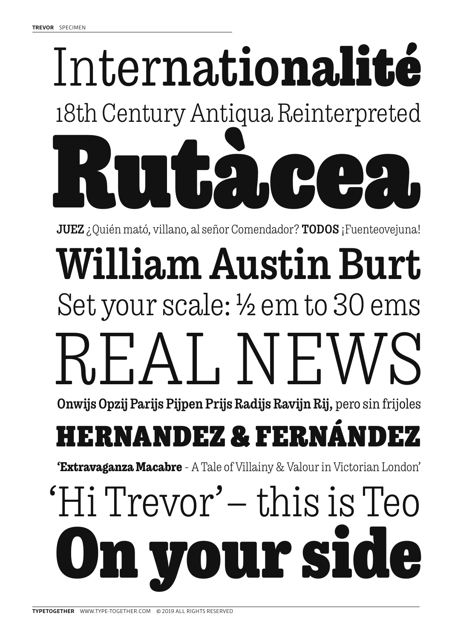# Internatio**nali**té Rutàcea. 18th Century Antiqua Reinterpreted

JUEZ ¿Quién mató, villano, al señor Comendador? TODOS ¡Fuenteovejuna!

## FAL NEW Set your scale: ½ em to 30 ems William Austin Burt

Onwijs Opzij Parijs Pijpen Prijs Radijs Ravijn Rij, pero sin frijoles

## HERNANDEZ & FERI

**'Extravaganza Macabre** - A Tale of Villainy & Valour in Victorian London'

## **OULY SI** 'Hi Trevor'— this is Teo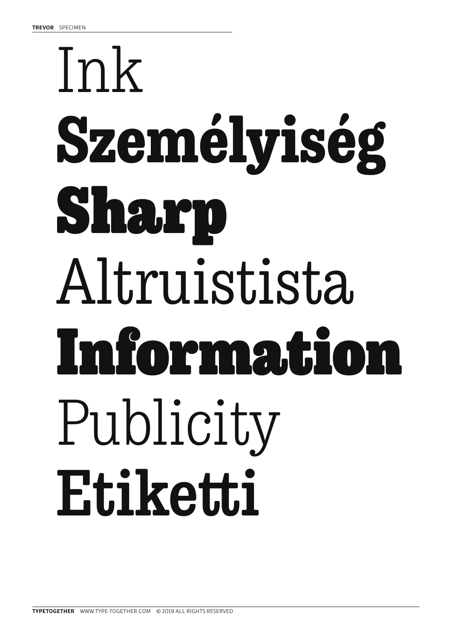# Ink **Személyiség** Sharp Altruistista Information Publicity **Etiketti**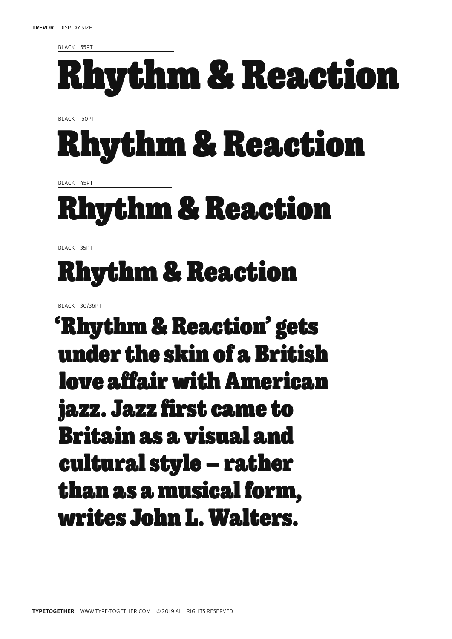BLACK 55PT

## Rhythm & Reaction

BLACK 50PT

## Rhythm & Reaction

BLACK 45PT

## Rhythm & Reaction

BLACK 35PT

## Rhythm & Reaction

BLACK 30/36PT

'Rhythm & Reaction' gets under the skin of a British love affair with American jazz. Jazz first came to Britain as a visual and cultural style — rather than as a musical form, writes John L. Walters.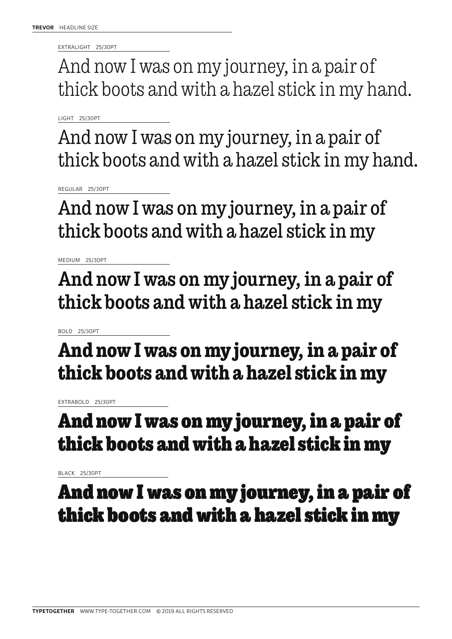EXTRALIGHT 25/30PT

And now I was on my journey, in a pair of thick boots and with a hazel stick in my hand.

LIGHT 25/30PT

And now I was on my journey, in a pair of thick boots and with a hazel stick in my hand.

REGULAR 25/30PT

And now I was on my journey, in a pair of thick boots and with a hazel stick in my

MEDIUM 25/30PT

And now I was on my journey, in a pair of thick boots and with a hazel stick in my

BOLD 25/30PT

**And now I was on my journey, in a pair of thick boots and with a hazel stick in my** 

EXTRABOLD 25/30PT

### **And now I was on my journey, in a pair of thick boots and with a hazel stick in my**

BLACK 25/30PT

### And now I was on my journey, in a pair of thick boots and with a hazel stick in my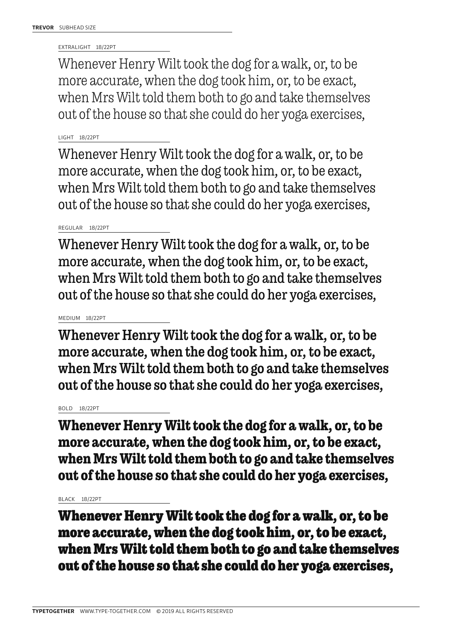EXTRALIGHT 18/22PT

Whenever Henry Wilt took the dog for a walk, or, to be more accurate, when the dog took him, or, to be exact, when Mrs Wilt told them both to go and take themselves out of the house so that she could do her yoga exercises,

### LIGHT 18/22PT

Whenever Henry Wilt took the dog for a walk, or, to be more accurate, when the dog took him, or, to be exact, when Mrs Wilt told them both to go and take themselves out of the house so that she could do her yoga exercises,

#### REGULAR 18/22PT

Whenever Henry Wilt took the dog for a walk, or, to be more accurate, when the dog took him, or, to be exact, when Mrs Wilt told them both to go and take themselves out of the house so that she could do her yoga exercises,

### MEDIUM 18/22PT

Whenever Henry Wilt took the dog for a walk, or, to be more accurate, when the dog took him, or, to be exact, when Mrs Wilt told them both to go and take themselves out of the house so that she could do her yoga exercises,

#### BOLD 18/22PT

**Whenever Henry Wilt took the dog for a walk, or, to be more accurate, when the dog took him, or, to be exact, when Mrs Wilt told them both to go and take themselves out of the house so that she could do her yoga exercises,** 

#### BLACK 18/22PT

**Whenever Henry Wilt took the dog for a walk, or, to be more accurate, when the dog took him, or, to be exact, when Mrs Wilt told them both to go and take themselves out of the house so that she could do her yoga exercises,**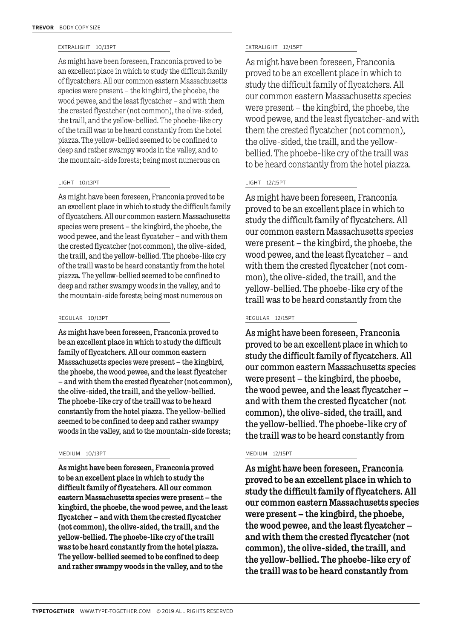As might have been foreseen, Franconia proved to be an excellent place in which to study the difficult family of flycatchers. All our common eastern Massachusetts species were present — the kingbird, the phoebe, the wood pewee, and the least flycatcher — and with them the crested flycatcher (not common), the olive-sided, the traill, and the yellow-bellied. The phoebe-like cry of the traill was to be heard constantly from the hotel piazza. The yellow-bellied seemed to be confined to deep and rather swampy woods in the valley, and to the mountain-side forests; being most numerous on

#### LIGHT 10/13PT

As might have been foreseen, Franconia proved to be an excellent place in which to study the difficult family of flycatchers. All our common eastern Massachusetts species were present — the kingbird, the phoebe, the wood pewee, and the least flycatcher — and with them the crested flycatcher (not common), the olive-sided, the traill, and the yellow-bellied. The phoebe-like cry of the traill was to be heard constantly from the hotel piazza. The yellow-bellied seemed to be confined to deep and rather swampy woods in the valley, and to the mountain-side forests; being most numerous on

#### REGULAR 10/13PT

As might have been foreseen, Franconia proved to be an excellent place in which to study the difficult family of flycatchers. All our common eastern Massachusetts species were present — the kingbird, the phoebe, the wood pewee, and the least flycatcher — and with them the crested flycatcher (not common), the olive-sided, the traill, and the yellow-bellied. The phoebe-like cry of the traill was to be heard constantly from the hotel piazza. The yellow-bellied seemed to be confined to deep and rather swampy woods in the valley, and to the mountain-side forests;

As might have been foreseen, Franconia proved to be an excellent place in which to study the difficult family of flycatchers. All our common eastern Massachusetts species were present — the kingbird, the phoebe, the wood pewee, and the least flycatcher — and with them the crested flycatcher (not common), the olive-sided, the traill, and the yellow-bellied. The phoebe-like cry of the traill was to be heard constantly from the hotel piazza. The yellow-bellied seemed to be confined to deep and rather swampy woods in the valley, and to the

#### EXTRALIGHT 10/13PT EXTRALIGHT 12/15PT

As might have been foreseen, Franconia proved to be an excellent place in which to study the difficult family of flycatchers. All our common eastern Massachusetts species were present — the kingbird, the phoebe, the wood pewee, and the least flycatcher–and with them the crested flycatcher (not common), the olive-sided, the traill, and the yellowbellied. The phoebe-like cry of the traill was to be heard constantly from the hotel piazza.

#### LIGHT 12/15PT

As might have been foreseen, Franconia proved to be an excellent place in which to study the difficult family of flycatchers. All our common eastern Massachusetts species were present — the kingbird, the phoebe, the wood pewee, and the least flycatcher — and with them the crested flycatcher (not common), the olive-sided, the traill, and the yellow-bellied. The phoebe-like cry of the traill was to be heard constantly from the

#### REGULAR 12/15PT

As might have been foreseen, Franconia proved to be an excellent place in which to study the difficult family of flycatchers. All our common eastern Massachusetts species were present — the kingbird, the phoebe, the wood pewee, and the least flycatcher and with them the crested flycatcher (not common), the olive-sided, the traill, and the yellow-bellied. The phoebe-like cry of the traill was to be heard constantly from

#### MEDIUM 10/13PT MEDIUM 12/15PT

As might have been foreseen, Franconia proved to be an excellent place in which to study the difficult family of flycatchers. All our common eastern Massachusetts species were present — the kingbird, the phoebe, the wood pewee, and the least flycatcher and with them the crested flycatcher (not common), the olive-sided, the traill, and the yellow-bellied. The phoebe-like cry of the traill was to be heard constantly from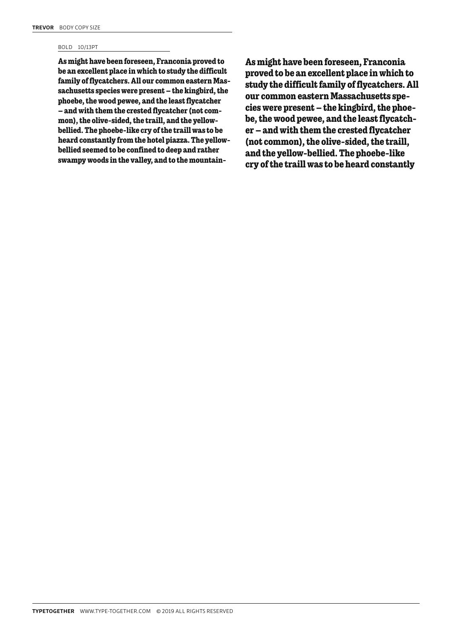#### BOLD 10/13PT

**As might have been foreseen, Franconia proved to be an excellent place in which to study the difficult family of flycatchers. All our common eastern Massachusetts species were present — the kingbird, the phoebe, the wood pewee, and the least flycatcher — and with them the crested flycatcher (not common), the olive-sided, the traill, and the yellowbellied. The phoebe-like cry of the traill was to be heard constantly from the hotel piazza. The yellowbellied seemed to be confined to deep and rather swampy woods in the valley, and to the mountain-** **As might have been foreseen, Franconia proved to be an excellent place in which to study the difficult family of flycatchers. All our common eastern Massachusetts species were present — the kingbird, the phoebe, the wood pewee, and the least flycatcher — and with them the crested flycatcher (not common), the olive-sided, the traill, and the yellow-bellied. The phoebe-like cry of the traill was to be heard constantly**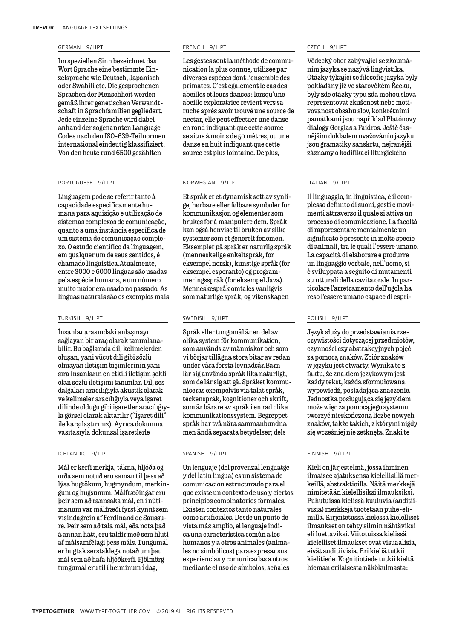#### GERMAN 9/11PT

Im speziellen Sinn bezeichnet das Wort Sprache eine bestimmte Einzelsprache wie Deutsch, Japanisch oder Swahili etc. Die gesprochenen Sprachen der Menschheit werden gemäß ihrer genetischen Verwandtschaft in Sprachfamilien gegliedert. Jede einzelne Sprache wird dabei anhand der sogenannten Language Codes nach den ISO-639-Teilnormen international eindeutig klassifiziert. Von den heute rund 6500 gezählten

#### PORTUGUESE 9/11PT

Linguagem pode se referir tanto à capacidade especificamente humana para aquisição e utilização de sistemas complexos de comunicação, quanto a uma instância específica de um sistema de comunicação complexo. O estudo científico da linguagem, em qualquer um de seus sentidos, é chamado linguística.Atualmente, entre 3000 e 6000 línguas são usadas pela espécie humana, e um número muito maior era usado no passado. As línguas naturais são os exemplos mais

#### TURKISH 9/11PT

İnsanlar arasındaki anlaşmayı sağlayan bir araç olarak tanımlanabilir. Bu bağlamda dil, kelimelerden oluşan, yani vücut dili gibi sözlü olmayan iletişim biçimlerinin yanı sıra insanların en etkili iletişim şekli olan sözlü iletişimi tanımlar. Dil, ses dalgaları aracılığıyla akustik olarak ve kelimeler aracılığıyla veya işaret dilinde olduğu gibi işaretler aracılığıyla görsel olarak aktarılır ("İşaret dili" ile karşılaştırınız). Ayrıca dokunma vasıtasıyla dokunsal işaretlerle

#### ICELANDIC 9/11PT

Mál er kerfi merkja, tákna, hljóða og orða sem notuð eru saman til þess að lýsa hugtökum, hugmyndum, merkingum og hugsunum. Málfræðingar eru þeir sem að rannsaka mál, en í nútímanum var málfræði fyrst kynnt sem vísindagrein af Ferdinand de Saussure. Þeir sem að tala mál, eða nota það á annan hátt, eru taldir með sem hluti af málsamfélagi þess máls. Tungumál er hugtak sérstaklega notað um þau mál sem að hafa hljóðkerfi. Fjölmörg tungumál eru til í heiminum í dag,

#### FRENCH 9/11PT

Les gestes sont la méthode de communication la plus connue, utilisée par diverses espèces dont l'ensemble des primates. C'est également le cas des abeilles et leurs danses : lorsqu'une abeille exploratrice revient vers sa ruche après avoir trouvé une source de nectar, elle peut effectuer une danse en rond indiquant que cette source se situe à moins de 50 mètres, ou une danse en huit indiquant que cette source est plus lointaine. De plus,

#### NORWEGIAN 9/11PT

Et språk er et dynamisk sett av synlige, hørbare eller følbare symboler for kommunikasjon og elementer som brukes for å manipulere dem. Språk kan også henvise til bruken av slike systemer som et generelt fenomen. Eksempler på språk er naturlig språk (menneskelige enkeltspråk, for eksempel norsk), kunstige språk (for eksempel esperanto) og programmeringsspråk (for eksempel Java). Menneskespråk omtales vanligvis som naturlige språk, og vitenskapen

#### SWEDISH 9/11PT

Språk eller tungomål är en del av olika system för kommunikation, som används av människor och som vi börjar tillägna stora bitar av redan under våra första levnadsår.Barn lär sig använda språk lika naturligt, som de lär sig att gå. Språket kommuniceras exempelvis via talat språk, teckenspråk, kognitioner och skrift, som är bärare av språk i en rad olika kommunikationssystem. Begreppet språk har två nära sammanbundna men ändå separata betydelser; dels

#### SPANISH 9/11PT

Un lenguaje (del provenzal lenguatge y del latín lingua) es un sistema de comunicación estructurado para el que existe un contexto de uso y ciertos principios combinatorios formales. Existen contextos tanto naturales como artificiales. Desde un punto de vista más amplio, el lenguaje indica una característica común a los humanos y a otros animales (animales no simbólicos) para expresar sus experiencias y comunicarlas a otros mediante el uso de símbolos, señales

#### CZECH 9/11PT

Vědecký obor zabývající se zkoumáním jazyka se nazývá lingvistika. Otázky týkající se filosofie jazyka byly pokládány již ve starověkém Řecku, byly zde otázky typu zda mohou slova reprezentovat zkušenost nebo motivovanost obsahu slov, konkrétními památkami jsou například Platónovy dialogy Gorgias a Faidros. Ještě časnějším dokladem uvažování o jazyku jsou gramatiky sanskrtu, nejranější záznamy o kodifikaci liturgického

#### ITALIAN 9/11PT

Il linguaggio, in linguistica, è il complesso definito di suoni, gesti e movimenti attraverso il quale si attiva un processo di comunicazione. La facoltà di rappresentare mentalmente un significato è presente in molte specie di animali, tra le quali l'essere umano. La capacità di elaborare e produrre un linguaggio verbale, nell'uomo, si è sviluppata a seguito di mutamenti strutturali della cavità orale. In particolare l'arretramento dell'ugola ha reso l'essere umano capace di espri-

#### POLISH 9/11PT

Język służy do przedstawiania rzeczywistości dotyczącej przedmiotów, czynności czy abstrakcyjnych pojęć za pomocą znaków. Zbiór znaków w języku jest otwarty. Wynika to z faktu, że znakiem językowym jest każdy tekst, każda sformułowana wypowiedź, posiadająca znaczenie. Jednostka posługująca się językiem może więc za pomocą jego systemu tworzyć nieskończoną liczbę nowych znaków, także takich, z którymi nigdy się wcześniej nie zetknęła. Znaki te

#### FINNISH 9/11PT

Kieli on järjestelmä, jossa ihminen ilmaisee ajatuksensa kielellisillä merkeillä, abstraktioilla. Näitä merkkejä nimitetään kielellisiksi ilmauksiksi. Puhutuissa kielissä kuuluvia (auditiivisia) merkkejä tuotetaan puhe-elimillä. Kirjoitetussa kielessä kielelliset ilmaukset on tehty silmin nähtäviksi eli luettaviksi. Viitotuissa kielissä kielelliset ilmaukset ovat visuaalisia, eivät auditiivisia. Eri kieliä tutkii kielitiede. Kognitiotiede tutkii kieltä hieman erilaisesta näkökulmasta: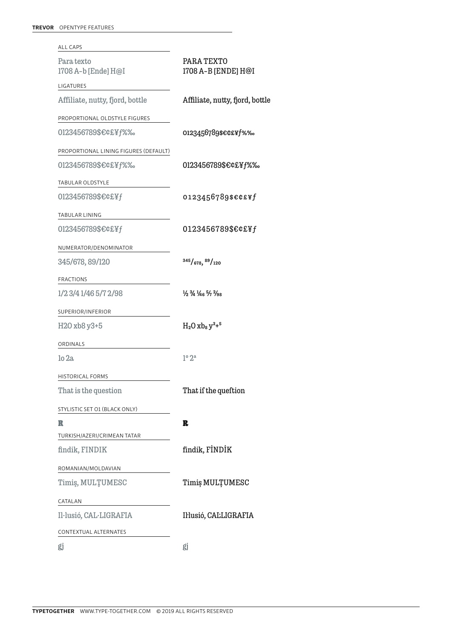| ALL CAPS                              |                                                                                     |
|---------------------------------------|-------------------------------------------------------------------------------------|
| Para texto<br>1708 A-b [Ende] H@I     | PARA TEXTO<br>1708 A-B [ENDE] H@I                                                   |
| LIGATURES                             |                                                                                     |
| Affiliate, nutty, fjord, bottle       | Affiliate, nutty, fjord, bottle                                                     |
| PROPORTIONAL OLDSTYLE FIGURES         |                                                                                     |
| 0123456789\$€¢£¥f%%                   | 0123456789\$€¢£¥f%‰                                                                 |
| PROPORTIONAL LINING FIGURES (DEFAULT) |                                                                                     |
| 0123456789\$€¢£¥f%%                   | 0123456789\$€¢£¥f%‰                                                                 |
| TABULAR OLDSTYLE                      |                                                                                     |
| 0123456789\$€¢£¥f                     | 0123456789\$€¢£¥f                                                                   |
| TABULAR LINING                        |                                                                                     |
| 0123456789\$€¢£¥f                     | 0123456789\$€¢£¥f                                                                   |
| NUMERATOR/DENOMINATOR                 |                                                                                     |
| 345/678, 89/120                       | 345/678, 89/120                                                                     |
| <b>FRACTIONS</b>                      |                                                                                     |
| 1/23/41/465/72/98                     | $\frac{1}{2}$ $\frac{3}{4}$ $\frac{1}{4}$ $\frac{5}{7}$ $\frac{2}{9}$ $\frac{1}{8}$ |
| SUPERIOR/INFERIOR                     |                                                                                     |
| H2O xb8 y3+5                          | $H_2O$ xb <sub>8</sub> $y^3 +^5$                                                    |
| ORDINALS                              |                                                                                     |
| $10$ 2a.                              | $1^{\circ}2^{\mathrm{a}}$                                                           |
| <b>HISTORICAL FORMS</b>               |                                                                                     |
| That is the question                  | That if the queftion                                                                |
| STYLISTIC SET O1 (BLACK ONLY)         |                                                                                     |
| R                                     | R                                                                                   |
| TURKISH/AZERI/CRIMEAN TATAR           |                                                                                     |
| findik, FINDIK                        | findik, FİNDİK                                                                      |
| ROMANIAN/MOLDAVIAN                    |                                                                                     |
| Timiş, MULTUMESC                      | Timiș MULȚUMESC                                                                     |
| CATALAN                               |                                                                                     |
| Il·lusió, CAL·LIGRAFIA                | Il·lusió, CALLIGRAFIA                                                               |
| CONTEXTUAL ALTERNATES                 |                                                                                     |
| gj                                    | gj                                                                                  |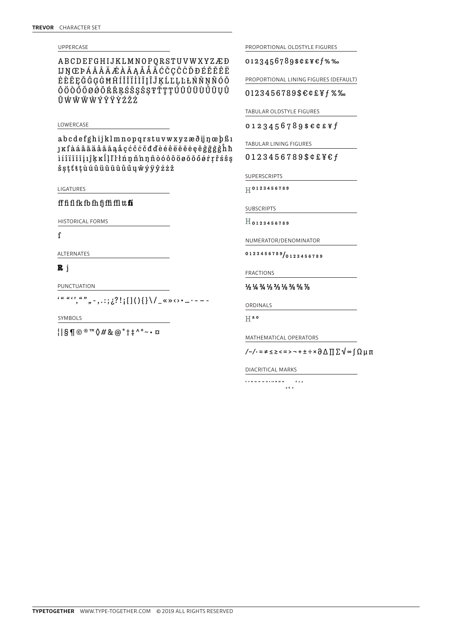#### UPPERCASE

ABCDEFGHIJKLMNOPQRSTUVWXYZÆÐ **IJNŒPÁĂÂÄÆAĀAÅÅÃĆČÇĈĊĎĐÉĔĚÊË** ĖÈĒEĞĜGGĠĦĤÍĬĨĨĨĨĪĪĨĴKĹĽLĿŁŃŇNÑÓŎ ÔÖÒŐŌØØŐŔŘRŚŠSŜSŦŤŢŢÚŬŨÜŨŬŨŲŮ ŨŴŴŴŴÝŶŸŶŹŽŻ

#### LOWERCASE

abcdefghijklmnopqrstuvwxyzæðijnæbßi **j**ĸſàáâãäåāāåaåçćĉċčđďèéêëēĕėeěĝğġģĥħ iíîïīīiiiîkklll'linnňnnñòóôõöøōŏőørrřśŝş šşţť ŧţù ú û ü ũ ū ŭ ů ű ų ŵ ý ÿ ŷ ź ż ž

LIGATURES

ff fi fl fk fb fh fj ffi ffl  $tt$   $ft$ 

HISTORICAL FORMS

 $\mathbf f$ 

ALTERNATES

#### $R_{j}$

PUNCTUATION

 $\frac{(a, a)}{b}, \frac{a, b}{c}, \ldots; \frac{1}{2}$ : [[() { } \ / \_ « »  $\cdots$  ...

SYMBOLS

 $||S \mathbf{\Psi} \odot \mathbf{R}^{m} \mathbf{\Psi} \mathbf{A} \mathbf{B} \mathbf{A}^{*} + \mathbf{A}^{m} - \mathbf{B}^{m}$ 

PROPORTIONAL OLDSTYLE FIGURES

0123456789\$¢£¥€f%%

PROPORTIONAL LINING FIGURES (DEFAULT)

0123456789\$€¢£¥f%‰

TABULAR OLDSTYLE FIGURES

 $0123456789$ \$e¢£¥f

TABULAR LINING FIGURES

0123456789\$¢£¥€f

**SUPERSCRIPTS** 

 $H^{0123456789}$ 

SUBSCRIPTS

 $H_{0123456789}$ 

NUMERATOR/DENOMINATOR

 $0123456789 / 0123456789$ 

**FRACTIONS** 

 $\frac{1}{2}$   $\frac{1}{4}$   $\frac{3}{4}$   $\frac{1}{3}$   $\frac{2}{3}$   $\frac{1}{8}$   $\frac{3}{8}$   $\frac{5}{8}$   $\frac{7}{8}$ 

ORDINALS

 $H^{a o}$ 

MATHEMATICAL OPERATORS

DIACRITICAL MARKS

 $\cdots$  $1122 - 11122$  $56.5$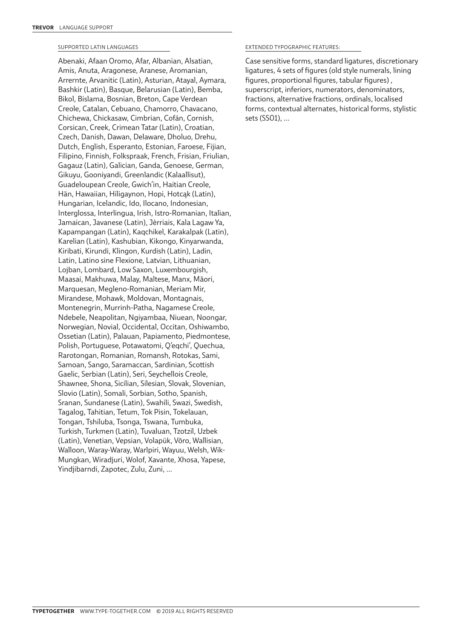#### SUPPORTED LATIN LANGUAGES

Abenaki, Afaan Oromo, Afar, Albanian, Alsatian, Amis, Anuta, Aragonese, Aranese, Aromanian, Arrernte, Arvanitic (Latin), Asturian, Atayal, Aymara, Bashkir (Latin), Basque, Belarusian (Latin), Bemba, Bikol, Bislama, Bosnian, Breton, Cape Verdean Creole, Catalan, Cebuano, Chamorro, Chavacano, Chichewa, Chickasaw, Cimbrian, Cofán, Cornish, Corsican, Creek, Crimean Tatar (Latin), Croatian, Czech, Danish, Dawan, Delaware, Dholuo, Drehu, Dutch, English, Esperanto, Estonian, Faroese, Fijian, Filipino, Finnish, Folkspraak, French, Frisian, Friulian, Gagauz (Latin), Galician, Ganda, Genoese, German, Gikuyu, Gooniyandi, Greenlandic (Kalaallisut), Guadeloupean Creole, Gwich'in, Haitian Creole, Hän, Hawaiian, Hiligaynon, Hopi, Hotcąk (Latin), Hungarian, Icelandic, Ido, Ilocano, Indonesian, Interglossa, Interlingua, Irish, Istro-Romanian, Italian, Jamaican, Javanese (Latin), Jèrriais, Kala Lagaw Ya, Kapampangan (Latin), Kaqchikel, Karakalpak (Latin), Karelian (Latin), Kashubian, Kikongo, Kinyarwanda, Kiribati, Kirundi, Klingon, Kurdish (Latin), Ladin, Latin, Latino sine Flexione, Latvian, Lithuanian, Lojban, Lombard, Low Saxon, Luxembourgish, Maasai, Makhuwa, Malay, Maltese, Manx, Māori, Marquesan, Megleno-Romanian, Meriam Mir, Mirandese, Mohawk, Moldovan, Montagnais, Montenegrin, Murrinh-Patha, Nagamese Creole, Ndebele, Neapolitan, Ngiyambaa, Niuean, Noongar, Norwegian, Novial, Occidental, Occitan, Oshiwambo, Ossetian (Latin), Palauan, Papiamento, Piedmontese, Polish, Portuguese, Potawatomi, Q'eqchi', Quechua, Rarotongan, Romanian, Romansh, Rotokas, Sami, Samoan, Sango, Saramaccan, Sardinian, Scottish Gaelic, Serbian (Latin), Seri, Seychellois Creole, Shawnee, Shona, Sicilian, Silesian, Slovak, Slovenian, Slovio (Latin), Somali, Sorbian, Sotho, Spanish, Sranan, Sundanese (Latin), Swahili, Swazi, Swedish, Tagalog, Tahitian, Tetum, Tok Pisin, Tokelauan, Tongan, Tshiluba, Tsonga, Tswana, Tumbuka, Turkish, Turkmen (Latin), Tuvaluan, Tzotzil, Uzbek (Latin), Venetian, Vepsian, Volapük, Võro, Wallisian, Walloon, Waray-Waray, Warlpiri, Wayuu, Welsh, Wik-Mungkan, Wiradjuri, Wolof, Xavante, Xhosa, Yapese, Yindjibarndi, Zapotec, Zulu, Zuni, …

#### EXTENDED TYPOGRAPHIC FEATURES:

Case sensitive forms, standard ligatures, discretionary ligatures, 4 sets of figures (old style numerals, lining figures, proportional figures, tabular figures) , superscript, inferiors, numerators, denominators, fractions, alternative fractions, ordinals, localised forms, contextual alternates, historical forms, stylistic sets (SS01), …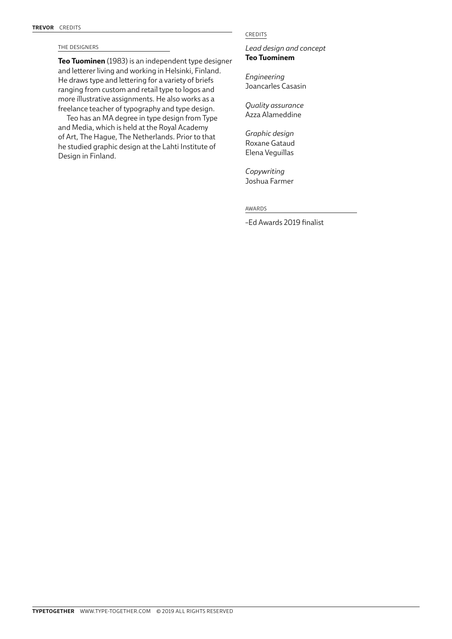#### THE DESIGNERS

**Teo Tuominen** (1983) is an independent type designer and letterer living and working in Helsinki, Finland. He draws type and lettering for a variety of briefs ranging from custom and retail type to logos and more illustrative assignments. He also works as a freelance teacher of typography and type design.

Teo has an MA degree in type design from Type and Media, which is held at the Royal Academy of Art, The Hague, The Netherlands. Prior to that he studied graphic design at the Lahti Institute of Design in Finland.

#### CREDITS

*Lead design and concept* **Teo Tuominem**

*Engineering* Joancarles Casasin

*Quality assurance* Azza Alameddine

*Graphic design*  Roxane Gataud Elena Veguillas

*Copywriting*  Joshua Farmer

AWARDS

–Ed Awards 2019 finalist